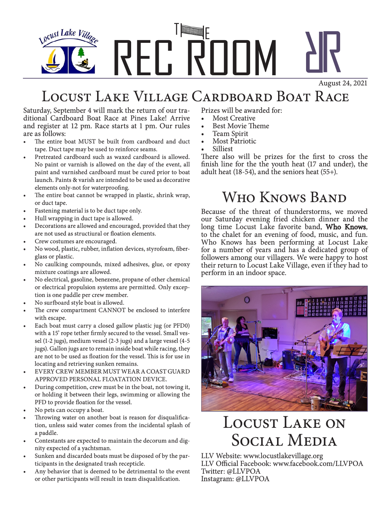

### Locust Lake Village Cardboard Boat Race

Saturday, September 4 will mark the return of our traditional Cardboard Boat Race at Pines Lake! Arrive and register at 12 pm. Race starts at 1 pm. Our rules are as follows:

- The entire boat MUST be built from cardboard and duct tape. Duct tape may be used to reinforce seams.
- Pretreated cardboard such as waxed cardboard is allowed. No paint or varnish is allowed on the day of the event, all paint and varnished cardboard must be cured prior to boat launch. Paints & varish are intended to be used as decorative elements only-not for waterproofing.
- The entire boat cannot be wrapped in plastic, shrink wrap, or duct tape.
- Fastening material is to be duct tape only.
- Hull wrapping in duct tape is allowed.
- Decorations are allowed and encouraged, provided that they are not used as structiural or floation elements.
- Crew costumes are encouraged.
- No wood, plastic, rubber, inflation devices, styrofoam, fiberglass or plastic.
- No caulking compounds, mixed adhesives, glue, or epoxy mixture coatings are allowed.
- No electrical, gasoline, benezene, propane of other chemical or electrical propulsion systems are permitted. Only exception is one paddle per crew member.
- No surfboard style boat is allowed.
- The crew compartment CANNOT be enclosed to interfere with escape.
- Each boat must carry a closed gallow plastic jug (or PFD0) with a 15' rope tether firmly secured to the vessel. Small vessel (1-2 jugs), medium vessel (2-3 jugs) and a large vessel (4-5 jugs). Gallon jugs are to remain inside boat while racing, they are not to be used as floation for the vessel. This is for use in locating and retrieving sunken remains.
- EVERY CREW MEMBER MUST WEAR A COAST GUARD APPROVED PERSONAL FLOATATION DEVICE.
- During competition, crew must be in the boat, not towing it, or holding it between their legs, swimming or allowing the PFD to provide floation for the vessel.
- No pets can occupy a boat.
- Throwing water on another boat is reason for disqualification, unless said water comes from the incidental splash of a paddle.
- Contestants are expected to maintain the decorum and dignity expected of a yachtsman.
- Sunken and discarded boats must be disposed of by the participants in the designated trash recepticle.
- Any behavior that is deemed to be detrimental to the event or other participants will result in team disqualification.

Prizes will be awarded for:

- Most Creative
- Best Movie Theme
- Team Spirit
- **Most Patriotic**
- Silliest

There also will be prizes for the first to cross the finish line for the the youth heat (17 and under), the adult heat (18-54), and the seniors heat (55+).

### Who Knows Band

Because of the threat of thunderstorms, we moved our Saturday evening fried chicken dinner and the long time Locust Lake favorite band, Who Knows, to the chalet for an evening of food, music, and fun. Who Knows has been performing at Locust Lake for a number of years and has a dedicated group of followers among our villagers. We were happy to host their return to Locust Lake Village, even if they had to perform in an indoor space.



## Locust Lake on Social Media

LLV Website: www.locustlakevillage.org LLV Official Facebook: www.facebook.com/LLVPOA Twitter: @LLVPOA Instagram: @LLVPOA